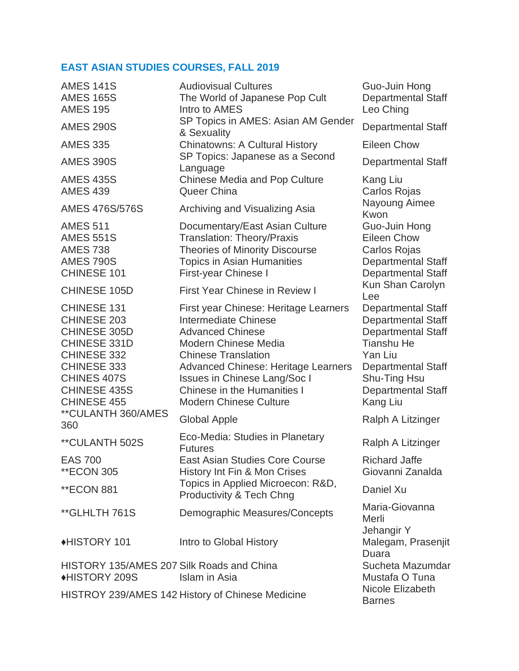## **EAST ASIAN STUDIES COURSES, FALL 2019**

| <b>AMES 141S</b><br><b>AMES 165S</b><br><b>AMES 195</b>                                                                                       | <b>Audiovisual Cultures</b><br>The World of Japanese Pop Cult<br>Intro to AMES                                                                                                                                                                                                                                           | Guo-Juin Hong<br><b>Departmental Staff</b><br>Leo Ching                                                                                                                                                   |
|-----------------------------------------------------------------------------------------------------------------------------------------------|--------------------------------------------------------------------------------------------------------------------------------------------------------------------------------------------------------------------------------------------------------------------------------------------------------------------------|-----------------------------------------------------------------------------------------------------------------------------------------------------------------------------------------------------------|
| <b>AMES 290S</b>                                                                                                                              | SP Topics in AMES: Asian AM Gender<br>& Sexuality                                                                                                                                                                                                                                                                        | <b>Departmental Staff</b>                                                                                                                                                                                 |
| <b>AMES 335</b>                                                                                                                               | <b>Chinatowns: A Cultural History</b>                                                                                                                                                                                                                                                                                    | <b>Eileen Chow</b>                                                                                                                                                                                        |
| <b>AMES 390S</b>                                                                                                                              | SP Topics: Japanese as a Second<br>Language                                                                                                                                                                                                                                                                              | <b>Departmental Staff</b>                                                                                                                                                                                 |
| <b>AMES 435S</b><br><b>AMES 439</b>                                                                                                           | <b>Chinese Media and Pop Culture</b><br>Queer China                                                                                                                                                                                                                                                                      | Kang Liu<br>Carlos Rojas                                                                                                                                                                                  |
| <b>AMES 476S/576S</b>                                                                                                                         | Archiving and Visualizing Asia                                                                                                                                                                                                                                                                                           | Nayoung Aimee<br>Kwon                                                                                                                                                                                     |
| <b>AMES 511</b><br><b>AMES 551S</b><br><b>AMES 738</b><br><b>AMES 790S</b><br>CHINESE 101                                                     | Documentary/East Asian Culture<br><b>Translation: Theory/Praxis</b><br><b>Theories of Minority Discourse</b><br><b>Topics in Asian Humanities</b><br>First-year Chinese I                                                                                                                                                | Guo-Juin Hong<br><b>Eileen Chow</b><br>Carlos Rojas<br><b>Departmental Staff</b><br><b>Departmental Staff</b>                                                                                             |
| CHINESE 105D                                                                                                                                  | <b>First Year Chinese in Review I</b>                                                                                                                                                                                                                                                                                    | Kun Shan Carolyn<br>Lee                                                                                                                                                                                   |
| CHINESE 131<br>CHINESE 203<br>CHINESE 305D<br>CHINESE 331D<br>CHINESE 332<br>CHINESE 333<br>CHINES 407S<br>CHINESE 435S<br><b>CHINESE 455</b> | First year Chinese: Heritage Learners<br><b>Intermediate Chinese</b><br><b>Advanced Chinese</b><br><b>Modern Chinese Media</b><br><b>Chinese Translation</b><br><b>Advanced Chinese: Heritage Learners</b><br><b>Issues in Chinese Lang/Soc I</b><br><b>Chinese in the Humanities I</b><br><b>Modern Chinese Culture</b> | <b>Departmental Staff</b><br><b>Departmental Staff</b><br><b>Departmental Staff</b><br><b>Tianshu He</b><br>Yan Liu<br><b>Departmental Staff</b><br>Shu-Ting Hsu<br><b>Departmental Staff</b><br>Kang Liu |
| ** CULANTH 360/AMES<br>360                                                                                                                    | <b>Global Apple</b>                                                                                                                                                                                                                                                                                                      | Ralph A Litzinger                                                                                                                                                                                         |
| **CULANTH 502S                                                                                                                                | Eco-Media: Studies in Planetary<br><b>Futures</b>                                                                                                                                                                                                                                                                        | Ralph A Litzinger                                                                                                                                                                                         |
| <b>EAS 700</b><br><b><i>**ECON 305</i></b>                                                                                                    | East Asian Studies Core Course<br>History Int Fin & Mon Crises                                                                                                                                                                                                                                                           | <b>Richard Jaffe</b><br>Giovanni Zanalda                                                                                                                                                                  |
| <b><i>**ECON 881</i></b>                                                                                                                      | Topics in Applied Microecon: R&D,<br>Productivity & Tech Chng                                                                                                                                                                                                                                                            | Daniel Xu                                                                                                                                                                                                 |
| **GLHLTH 761S                                                                                                                                 | Demographic Measures/Concepts                                                                                                                                                                                                                                                                                            | Maria-Giovanna<br>Merli                                                                                                                                                                                   |
| ◆HISTORY 101                                                                                                                                  | Intro to Global History                                                                                                                                                                                                                                                                                                  | Jehangir Y<br>Malegam, Prasenjit<br>Duara                                                                                                                                                                 |
| HISTORY 135/AMES 207 Silk Roads and China<br><b>◆HISTORY 209S</b>                                                                             | Islam in Asia                                                                                                                                                                                                                                                                                                            | Sucheta Mazumdar<br>Mustafa O Tuna                                                                                                                                                                        |
| HISTROY 239/AMES 142 History of Chinese Medicine                                                                                              | Nicole Elizabeth<br><b>Barnes</b>                                                                                                                                                                                                                                                                                        |                                                                                                                                                                                                           |